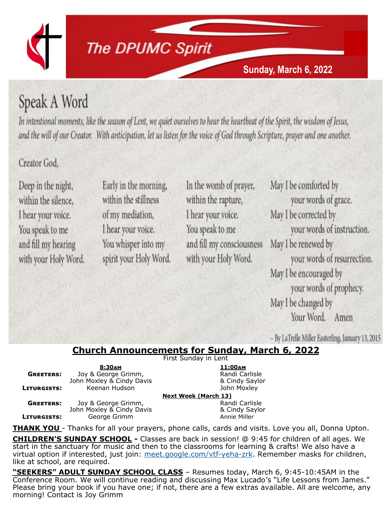

# **The DPUMC Spirit**

## **Sunday, March 6, 2022**

# Speak A Word

In intentional moments, like the season of Lent, we quiet ourselves to hear the heartbeat of the Spirit, the wisdom of Jesus, and the will of our Creator. With anticipation, let us listen for the voice of God through Scripture, prayer and one another.

## Creator God.

Deep in the night, within the silence. I hear your voice. You speak to me and fill my hearing with your Holy Word.

Early in the morning, within the stillness of my mediation, I hear your voice. You whisper into my spirit your Holy Word. In the womb of prayer, within the rapture, I hear your voice. You speak to me and fill my consciousness with your Holy Word.

May I be comforted by your words of grace. May I be corrected by your words of instruction. May I be renewed by your words of resurrection. May I be encouraged by your words of prophecy. May I be changed by Your Word. Amen

- By LaTrelle Miller Easterling, January 13, 2015

### **Church Announcements for Sunday, March 6, 2022**

First Sunday in Lent

|                  | 8:30AM                    |  |
|------------------|---------------------------|--|
| <b>GREETERS:</b> | Joy & George Grimm,       |  |
|                  | John Moxley & Cindy Davis |  |
| LITURGISTS:      | Keenan Hudson             |  |
|                  |                           |  |
| <b>GREETERS:</b> | Joy & George Grimm,       |  |
|                  | John Moxley & Cindy Davis |  |
| LITURGISTS:      | George Grimm              |  |

**8:30am 11:00am Randi Carlisle**  $& Cindy$  Saylor **John Moxley Week (March 13)** 

**Randi Carlisle**  $& Cindy$  Saylor **Annie Miller** 

**THANK YOU** - Thanks for all your prayers, phone calls, cards and visits. Love you all, Donna Upton.

**CHILDREN'S SUNDAY SCHOOL -** Classes are back in session! @ 9:45 for children of all ages. We start in the sanctuary for music and then to the classrooms for learning & crafts! We also have a virtual option if interested, just join: [meet.google.com/vtf](https://www.dpumc.net/groups/childrens-ministries/sunday-school/meet.google.com/vtf-yeha-zrk)-yeha-zrk. Remember masks for children, like at school, are required.

**"SEEKERS" ADULT SUNDAY SCHOOL CLASS** – Resumes today, March 6, 9:45-10:45AM in the Conference Room. We will continue reading and discussing Max Lucado's "Life Lessons from James." Please bring your book if you have one; if not, there are a few extras available. All are welcome, any morning! Contact is Joy Grimm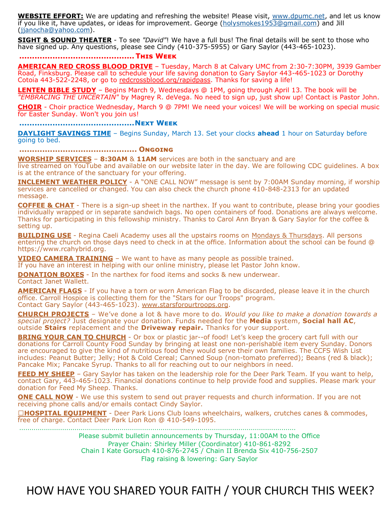**WEBSITE EFFORT:** We are updating and refreshing the website! Please visit, [www.dpumc.net,](http://www.dpumc.net) and let us know if you like it, have updates, or ideas for improvement. George [\(holysmokes1953@gmail.com\)](mailto:holysmokes1953@gmail.com) and Jill [\(jjanocha@yahoo.com\).](mailto:jjanocha@yahoo.com)

**SIGHT & SOUND THEATER** - To see *"David"*! We have a full bus! The final details will be sent to those who have signed up. Any questions, please see Cindy (410-375-5955) or Gary Saylor (443-465-1023).

### **.............................................This Week**

**AMERICAN RED CROSS BLOOD DRIVE** – Tuesday, March 8 at Calvary UMC from 2:30-7:30PM, 3939 Gamber Road, Finksburg. Please call to schedule your life saving donation to Gary Saylor 443-465-1023 or Dorothy Cotoia 443-522-2248, or go to redcrossblood.org/rapidpass. Thanks for saving a life!

**LENTEN BIBLE STUDY** – Begins March 9, Wednesdays @ 1PM, going through April 13. The book will be *"EMBRACING THE UNCERTAIN"* by Magrey R. deVega. No need to sign up, just show up! Contact is Pastor John.

**CHOIR** - Choir practice Wednesday, March 9 @ 7PM! We need your voices! We will be working on special music for Easter Sunday. Won't you join us!

#### **.............................................Next Week**

**DAYLIGHT SAVINGS TIME** – Begins Sunday, March 13. Set your clocks **ahead** 1 hour on Saturday before going to bed.

**.............................................. Ongoing**

**WORSHIP SERVICES** – **8:30AM** & **11AM** services are both in the sanctuary and are

live streamed on YouTube and available on our website later in the day. We are following CDC guidelines. A box is at the entrance of the sanctuary for your offering.

**INCLEMENT WEATHER POLICY** - A "ONE CALL NOW" message is sent by 7:00AM Sunday morning, if worship services are cancelled or changed. You can also check the church phone  $410-848-2313$  for an updated message.

**COFFEE & CHAT** - There is a sign-up sheet in the narthex. If you want to contribute, please bring your goodies individually wrapped or in separate sandwich bags. No open containers of food. Donations are always welcome. Thanks for participating in this fellowship ministry. Thanks to Carol Ann Bryan & Gary Saylor for the coffee & setting up.

**BUILDING USE** - Regina Caeli Academy uses all the upstairs rooms on Mondays & Thursdays. All persons entering the church on those days need to check in at the office. Information about the school can be found @ https://www.rcahybrid.org.

**VIDEO CAMERA TRAINING** – We want to have as many people as possible trained.

If you have an interest in helping with our online ministry, please let Pastor John know.

**DONATION BOXES** - In the narthex for food items and socks & new underwear.

Contact Janet Wallett.

**AMERICAN FLAGS** - If you have a torn or worn American Flag to be discarded, please leave it in the church office. Carroll Hospice is collecting them for the "Stars for our Troops" program. Contact Gary Saylor (443-465-1023). www.starsforourtroops.org.

**CHURCH PROJECTS** – We've done a lot & have more to do. *Would you like to make a donation towards a special project?* Just designate your donation. Funds needed for the **Media** system, **Social hall AC**, outside **Stairs** replacement and the **Driveway repair.** Thanks for your support.

**BRING YOUR CAN TO CHURCH** - Or box or plastic jar--of food! Let's keep the grocery cart full with our donations for Carroll County Food Sunday by bringing at least one non-perishable item every Sunday. Donors are encouraged to give the kind of nutritious food they would serve their own families. The CCFS Wish List includes: Peanut Butter; Jelly; Hot & Cold Cereal; Canned Soup (non-tomato preferred); Beans (red & black); Pancake Mix; Pancake Syrup. Thanks to all for reaching out to our neighbors in need.

**FEED MY SHEEP** - Gary Saylor has taken on the leadership role for the Deer Park Team. If you want to help, contact Gary, 443-465-1023. Financial donations continue to help provide food and supplies. Please mark your donation for Feed My Sheep. Thanks.

**ONE CALL NOW** - We use this system to send out prayer requests and church information. If you are not receiving phone calls and/or emails contact Cindy Saylor.

□HOSPITAL EOUIPMENT - Deer Park Lions Club loans wheelchairs, walkers, crutches canes & commodes, free of charge. Contact Deer Park Lion Ron @ 410-549-1095.

.......................................................................................................................................

Please submit bulletin announcements by Thursday, 11:00AM to the Office Prayer Chain: Shirley Miller (Coordinator) 410-861-8292 Chain I Kate Gorsuch 410-876-2745 / Chain II Brenda Six 410-756-2507 Flag raising & lowering: Gary Saylor

# HOW HAVE YOU SHARED YOUR FAITH / YOUR CHURCH THIS WEEK?